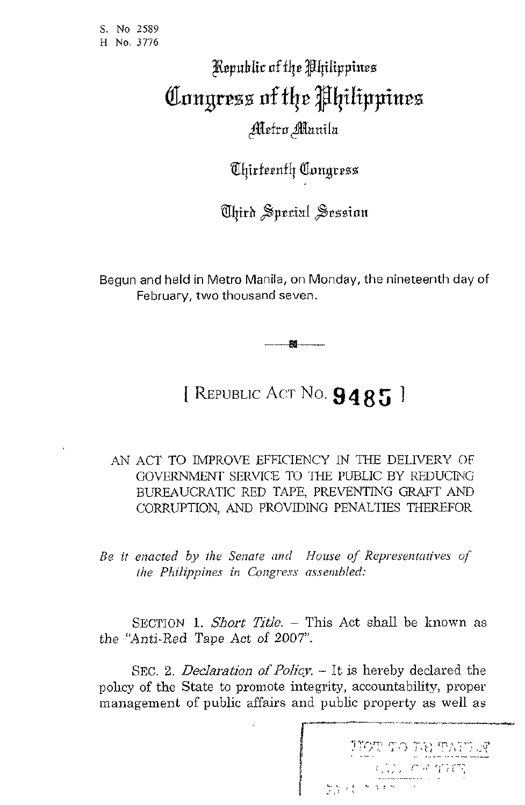S. No **25S9**  H **No.** *<sup>3116</sup>*

## Republic of the Philippines Congress of the Philippines Metro Manila

*Chirteenth Congress* 

Uhird Sperial Session

Begun and held in Metro Manila, on Monday, the nineteenth day of February, *two* thousand seven.

**88** 

## [ REPUBLIC Acr No. **9 4 8** *5* <sup>1</sup>

.4N ACT TO IMPROVE EFFICIENCY IN THE DELIVERY OF GOVERNMENT SERVICE TO THE PUBLIC BY REDUCING BUREAUCRATIC RED TAPE. PREVENTING GRAFT AND CORRUPTION, AND PROVIDING PENALTIES THEREFOR

*Be it enacted by the Senate and House of Representatives of tke Philippines in Congress assembled:* 

SECTION 1. *Short Title.* - This Act shall be known as the "Anti-Red Tape Act of 2007".

SEC. 2. *Declaration of Policy.* - It is hereby declared the policy of the State to promote integrity, accountability, proper management of public affairs and public property as well as

**.....-.nj** ,- **,j** *i-,-t;* r7,: '..~; **,J** ! :'i **I** ' , ., , , ~ .. ., , (' , 102' 10 101' 101 123<br>( , ) , , c + THT<br>( , ) + x 17 = ...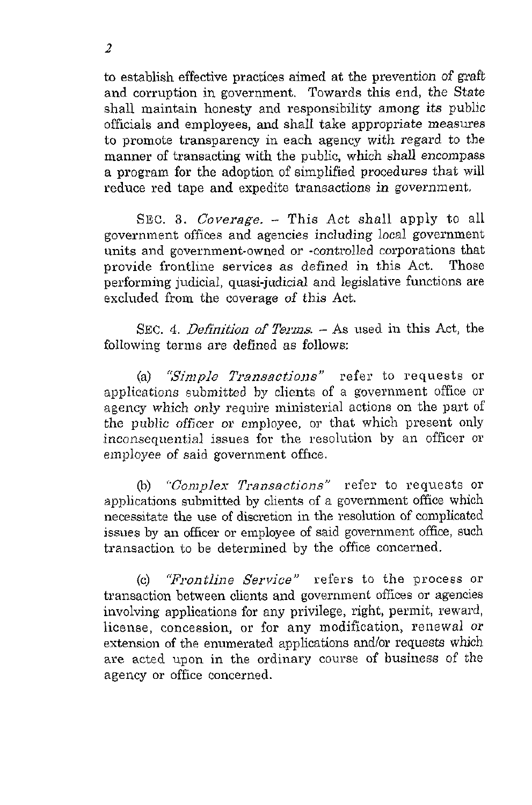to establish effective practices aimed at the prevention of graft and corruption in government. Towards this end, the State shall maintain honesty and responsibility among its public officials and employees, and shall take appropriate measures to promote transparency in each agency with regard to the manner of transacting with the public, which shall encompass a program for the adoption of simplified procedures that will reduce red tape and expedite transactions in government.

SEC. **3.** *Coverage.* - This Act shall apply to all government offices and agencies including local government units and government-owned or -controlled corporations that provide frontline services as defined in this Act. Those performing judicial, quasi-judicial and legislative functions are excluded from the coverage of this Act.

SEC. 4. *Definition of Terms.* – As used in this Act, the following terms are defined as follows:

(a) *"Simple Transactions"* refer to requests or applications submitted by clients of a government office or agency which only require ministerial actions on the part of the public officer or employee, or that which present only inconsequential issues for the resolution by an officer or employee of said government office.

(b) "Complex Transactions" refer to requests or applications submitted by clients of a government office which necessitate the use of discretion in the resolution of complicated issues by an officer or employee of said government office, such transaction to be determined by the office concerned.

(c) "Frontline *Service"* refers to the process *or*  transaction between clients and government offices or agencies involving applications for any privilege, right, permit, reward, license, concession, or for any modification, renewal *or*  extension of the enumerated applications and/or requests which are acted upon in the ordinary course of business of the agency or office concerned.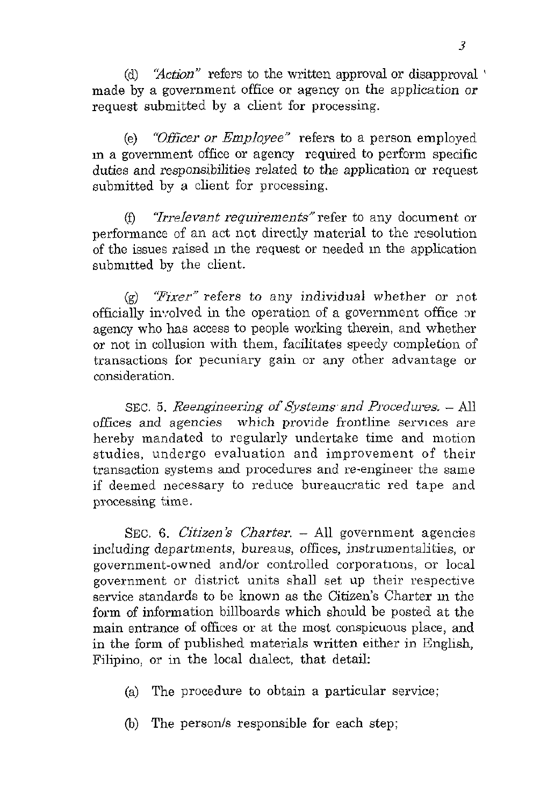(d) *'Xction"* refers to the written approval or disapproval ' made by a government office or agency on the application or request submitted by a client for processing.

(e) "Officer *or* Employee" refers to a person employed m a government office or agency required to perform specific duties and responsibilities related to the application or request submitted by a client for processing.

 $(f)$  *"Irrelevant requirements"* refer to any document or performance of an act not directly material to the resolution of the issues raised in the request or needed in the application submitted by the client.

*(9)* 'Fixer" refers to any individual whether or not officially involved in the operation of a government office or agency who has access to people working therein, and whether or not in collusion with them, facilitates speedy completion of transactions for pecuniary gain or any other advantage or consideration.

SEC. 5. Reengineering of Systems and Procedures. - All offices and agencies which provide frontline services are hereby mandated to regularly undertake time and motion studies, undergo evaluation and improvement of their transaction systems and procedures and re-engineer the same if deemed necessary to reduce bureaucratic red tape and processing time.

SEC. 6. *Citizen's Charter.*  $-$  All government agencies including departments, bureaus, offices, instrumentalities, or government-owned and/or controlled corporations, or local government or district units shall set up their respective service standards to be known as the Citizen's Charter in the form of information billboards which should be posted at the main entrance of offices or at the most conspicuous place, and in the form of published materials written either in English, Filipino, or in the local dialect, that detail:

- (a) The procedure to obtain a particular service;
- (b) The person/s responsible for each step;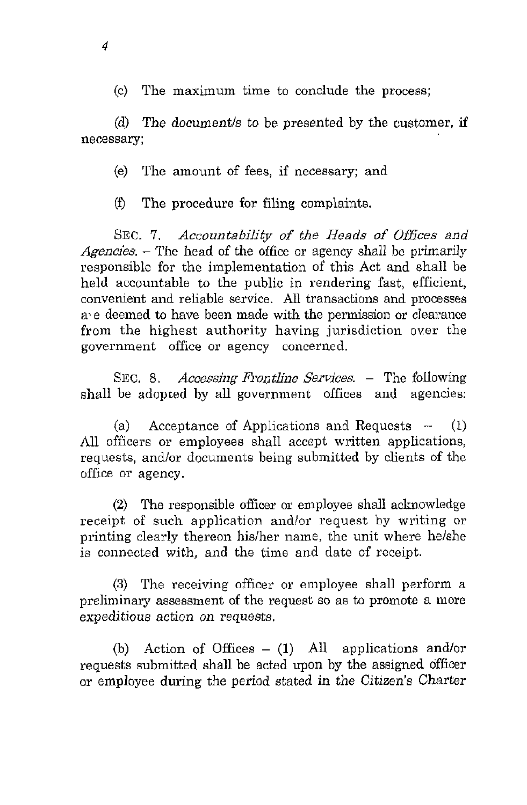(c) The maximum time to conclude the process:

(d) The document/s to be presented by the customer, if necessary;

*(e)*  The amount of fees, if necessary; and

**(f)**  The procedure for filing complaints.

SEC. *I. Accountability of the Heads of Offices and Agencies,* - The head of the office or agency shall be primarily responsible for the implementation of this Act and shall be held accountable to the public in rendering fast, efficient, convenient and reliable service. *AU* transactions and processes a'e deemed to have been made with the permission or clearance from the highest authority having jurisdiction over the government office or agency concerned.

SEC. 8. Accessing Frontline Services. - The following shall be adopted by all government offices and agencies:

(a) Acceptance of Applications and Requests -- **(1)**  All officers or employees shall accept written applications, requests, and/or documents being submitted by clients of the office or agency.

(2) The responsible officer or employee shall acknowledge receipt of such application and/or request by writing or printing clearly thereon his/her name, the unit where he/she is connected with, and the time and date of receipt.

**(3)** The receiving officer or employee shall perform a preliminary assessment of the request so as to promote a more expeditious action on requests.

(b) Action of Offices  $- (1)$  All applications and/or requests submitted shall be acted upon by the assigned officer or employee during the period stated in the *Citizen's* Charter

*4*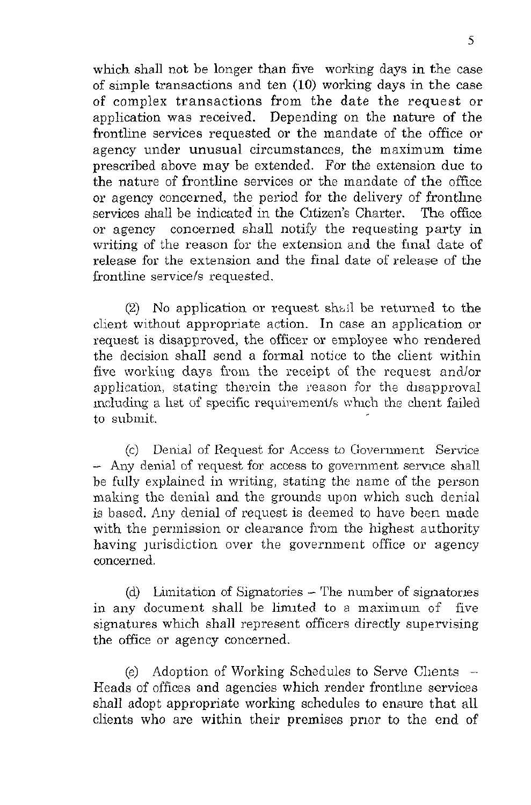which shall not be longer than five working days in the case of simple transactions and ten (10) working days in the case of complex transactions from the date the request or application was received. Depending on the nature of the frontline services requested or the mandate of the office or agency under unusual circumstances, the maximum time prescribed above may be extended. For the extension due to the nature of frontline services or the mandate of the office or agency concerned, the period for the delivery of frontline services shall be indicated in the Citizen's Charter. The office or agency concerned shall notify the requesting party in writing of the reason for the extension and the final date of release for the extension and the final date of release of the frontline service/s requested.

*(2)* No application or request shiil be retuned to the client without appropriate action. In case an application or request is disapproved, the officer or employee who rendered the decision shall send a formal notice to the client within five working days from the receipt of the request and/or application, stating therein the reason for the disapproval including a list of specific requirement/s which the client failed to submit,.

(c) Denial of Request for Access to Government Service - Any denial of request for access to government service shall be fully explained in writing, stating the name of the person making the denial and the grounds upon which such denial is based. Any denial of request is deemed to have been made with the permission or clearance from the highest authority having jurisdiction over the government office or agency concerned.

(d) Limitation of Signatories - The number of signatories in any document shall be limited to a maximum of five signatures which shall represent officers directly supervising the office or agency concerned.

Adoption of Working Schedules to Serve Clients  $-$ Heads of offices and agencies which render frontline services shall adopt appropriate working schedules to ensure that all clients who are within their premises prior to the end of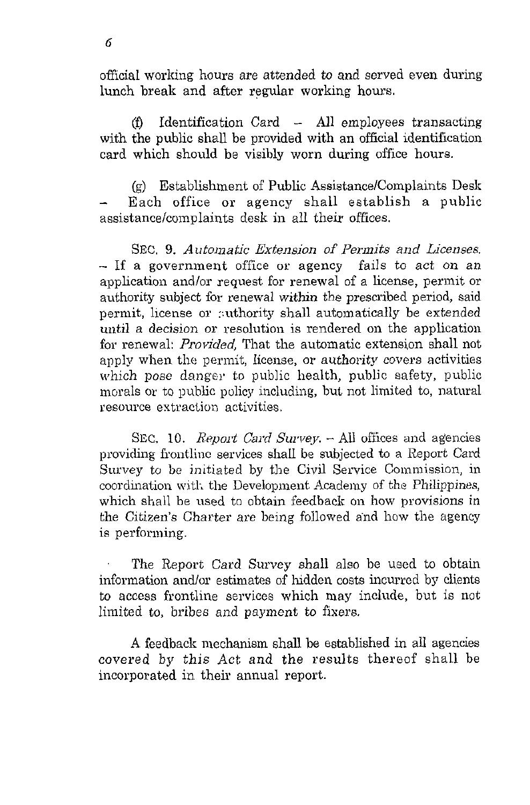official working hours are attended *to* and served even during lunch break and after regular working hours.

*(0* Identification Card - All employees transacting with the public shall be provided with an official identification card which should be visibly worn during office hours.

(g) Establishment of Public Assistance/Complaints Desk Each office or agency shall establish a public assistance/complaints desk in all their offices.

SEC. 9. Automatic Extension *of* Permits *and* Licenses. - If a government office or agency fails to act on an application and/or request for renewal of a license, permit or authority subject for renewal within the prescribed period, said permit, license or :uthority shall automatically be extended until a decision OF resolution is rendered on the application for renewal: *Provided*, That the automatic extension shall not apply when the permit, license, or authority covers activities which pose danger to public health, public safety, public morals *01'* to public policy including, but not limited to, natural resource extraction activities.

SEC. 10. *Report Card Survey.*  $-$  All offices and agencies providing frontline services shall be subjected to a Report Card Survey to be initiated by the Civil Service Commission, in coordination with the Development Academy of the Philippines, which shall be used to obtain feedback on how provisions in the Citizen's Charter are being followed and how the agency is perforining.

The Report Card Survey shall also be used to obtain information and/or estimates of hidden costs incurred by clients to access frontline services which may include, but is not limited to, bribes and payment to fixers.

**-4** feedhacli mechanism shall be established in all agencies covered by this Act and the results thereof shall be incorporated in their annual report.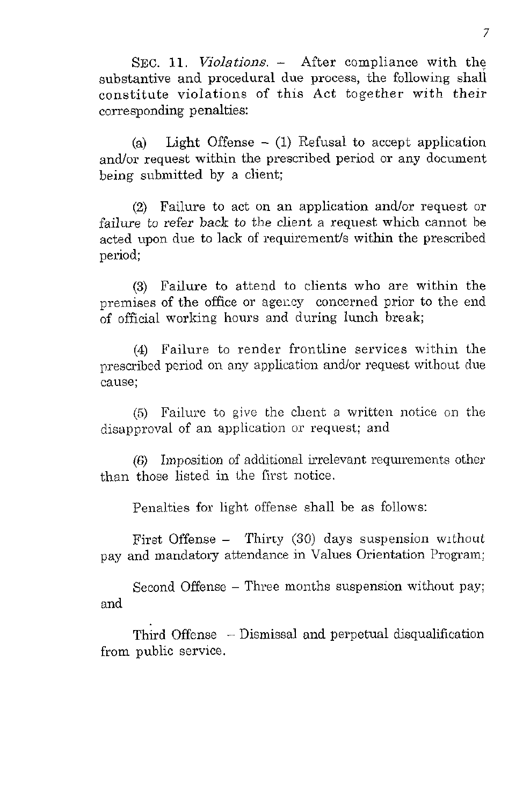SEC. 11. *Violations.* - After compliance with the substantive and procedural due process, the following shall constitute violations of this Act together with their corresponding penalties:

(a) Light Offense  $-$  (1) Refusal to accept application and/or request within the prescribed period or any document being submitted by a client;

*(2)* Failure to act on an application and/or request or failure to refer back *to* the client a request which cannot be acted upon due to lack of requirement/s within the prescribed period:

**(3)** Failure to attend to clients who are within the premises of the office or agency concerned prior to the end of official working hours and during lunch break;

*(4)* Failure to render frontline services within the prescribed period on any application and/or request without due cause;

*(5)* Failure to give the client, a written notice on the disapproval of an application or request; and

 $(6)$  Imposition of additional irrelevant requirements other than those listed in Lhe fivst notice.

Penalties for light offense shall be as follows:

First Offense  $-$  Thirty (30) days suspension without pay and mandatory attendance in Values Orientation Program;

Second Offense - Three months suspension without pay; and

Third Offense - Dismissal and perpetual disqualification from public service.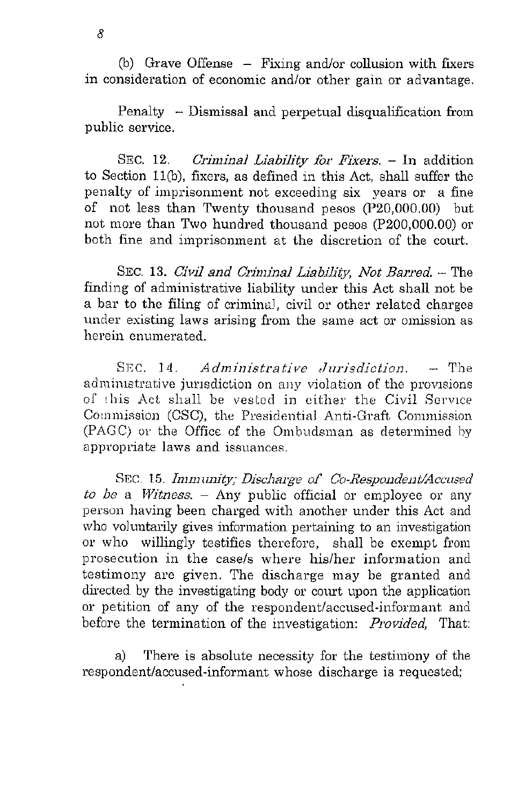(b) Grave Offense  $-$  Fixing and/or collusion with fixers in consideration of economic and/or other gain or advantage.

Penalty - Dismissal and perpetual disqualification from public service.

SEC. **12.** *Criminal Liability for Fixers.* - In addition to Section ll(b), fixers, as defined in this Act, shall suffer the penalty of imprisonment not exceeding six years or a fine of not less than Twenty thousand pesos (P20,OOO.OO) but not more than Two hundred thousand pesos (P200,000.00) or both fine and iinprisonment at the discretion of the court.

SEC. **13.** *Civil and Criininal Liability, Not Barred.* - The finding of administrative liability under this Act shall not be a bar to the filing of crimina!, civil or other related charges under existing laws arising from the same act or omission as herein enumerated.

SEC. 14. *Administrative Jurisdiction.* - The administrative jurisdiction on any violation of the provisions of this Act shall be vested in either the Civil Service Commission (CSC), the Presidential Anti-Graft Commission (PAGC) or the Office of the Ombudsman as determined by appropriate laws and issuances.

SEC. 15. *Immunity; Discharge of Co-Respondent/Accused*  $to be a *Witness.* - Any public official or employee or any$ person having been charged with another under this Act and who voluntarily gives information pertaining to an investigation or who willingly testifies therefore, shall be exempt from prosecution in the case/s where his/her information and testimony are given. The discharge may be granted and directed by the investigating body or court upon the application or petition of any of the respondent/accused-informant and before the termination of the investigation: *Provided,* That:

a) There is absolute necessity for the testimony of the respondent/accused-informant whose discharge is requested;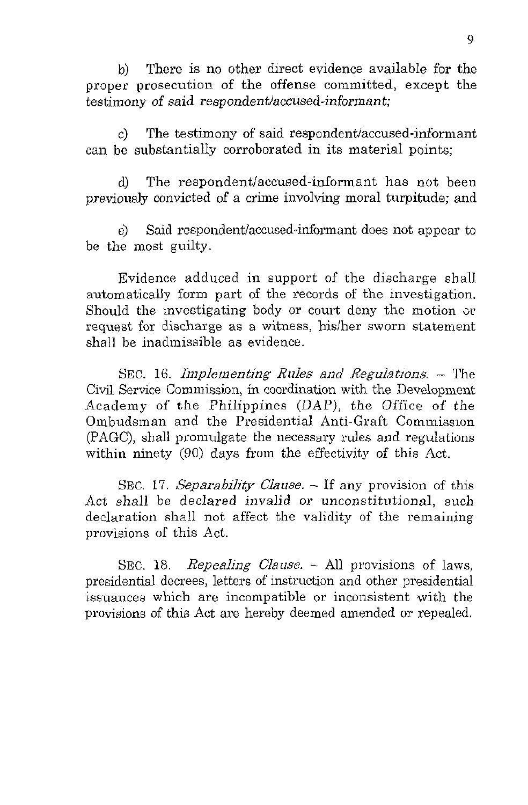There is no other direct evidence available for the proper prosecution of the offense committed, except the testimony of said respondentlaccused-informant; b)

 $c$ ) The testimony of said respondent/accused-informant can be substantially corroborated in its material points;

d) The respondent/accused-informant has not been previously convicted of a crime involving moral turpitude; and

e) Said respondent/accused-informant does not appear to be the most guilty.

Evidence adduced in support of the discharge shall automatically form part of the records of the investigation. Should the investigating body or court deny the motion or request for discharge as a witness, hislher sworn statement shall be inadmissible as evidence.

SEC. 16. *Iinplementing Rules and Regulations.* - The Civil Service Commission, in coordination with the Development Academy of the Philippines (DAP), the Office of the Ombudsman and the Presidential Anti-Graft Commission (PAGC), shall promulgate the necessary rules and regulations within ninety (90) days from the effectivity of this Act.

SEC. 17. *SeparabiIity Clause.* - If any provision of this Act shall be declared invalid or unconstitutional, such declaration shall not affect the validity of the remaining provisions of this Act.

SEC. 18. *Repealing Clause.* - All provisions of laws, presidential decrees, letters of instruction and other presidential issuances which are incompatible or inconsistent with the provisions of this Act are hereby deemed amended or repealed.